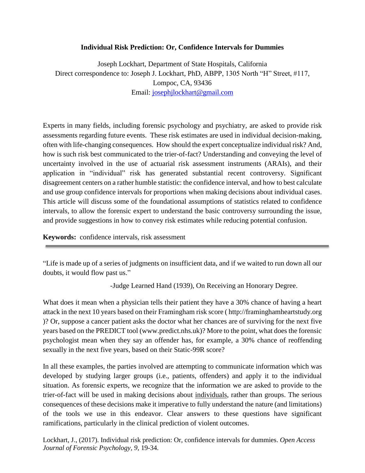## **Individual Risk Prediction: Or, Confidence Intervals for Dummies**

Joseph Lockhart, Department of State Hospitals, California Direct correspondence to: Joseph J. Lockhart, PhD, ABPP, 1305 North "H" Street, #117, Lompoc, CA, 93436 Email: [josephjlockhart@gmail.com](mailto:josephjlockhart@gmail.com))

Experts in many fields, including forensic psychology and psychiatry, are asked to provide risk assessments regarding future events. These risk estimates are used in individual decision-making, often with life-changing consequences. How should the expert conceptualize individual risk? And, how is such risk best communicated to the trier-of-fact? Understanding and conveying the level of uncertainty involved in the use of actuarial risk assessment instruments (ARAIs), and their application in "individual" risk has generated substantial recent controversy. Significant disagreement centers on a rather humble statistic: the confidence interval, and how to best calculate and use group confidence intervals for proportions when making decisions about individual cases. This article will discuss some of the foundational assumptions of statistics related to confidence intervals, to allow the forensic expert to understand the basic controversy surrounding the issue, and provide suggestions in how to convey risk estimates while reducing potential confusion.

**Keywords:** confidence intervals, risk assessment

"Life is made up of a series of judgments on insufficient data, and if we waited to run down all our doubts, it would flow past us."

-Judge Learned Hand (1939), On Receiving an Honorary Degree.

What does it mean when a physician tells their patient they have a 30% chance of having a heart attack in the next 10 years based on their Framingham risk score ( http://framinghamheartstudy.org )? Or, suppose a cancer patient asks the doctor what her chances are of surviving for the next five years based on the PREDICT tool (www.predict.nhs.uk)? More to the point, what does the forensic psychologist mean when they say an offender has, for example, a 30% chance of reoffending sexually in the next five years, based on their Static-99R score?

In all these examples, the parties involved are attempting to communicate information which was developed by studying larger groups (i.e., patients, offenders) and apply it to the individual situation. As forensic experts, we recognize that the information we are asked to provide to the trier-of-fact will be used in making decisions about individuals, rather than groups. The serious consequences of these decisions make it imperative to fully understand the nature (and limitations) of the tools we use in this endeavor. Clear answers to these questions have significant ramifications, particularly in the clinical prediction of violent outcomes.

Lockhart, J., (2017). Individual risk prediction: Or, confidence intervals for dummies. *Open Access Journal of Forensic Psychology, 9,* 19-34.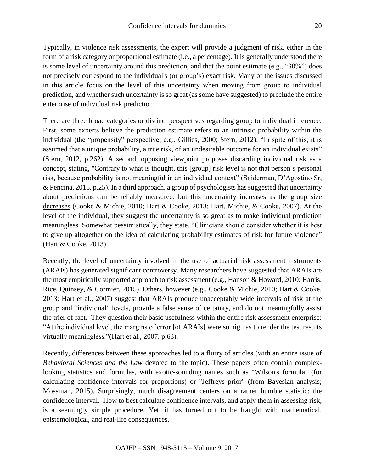Typically, in violence risk assessments, the expert will provide a judgment of risk, either in the form of a risk category or proportional estimate (i.e., a percentage). It is generally understood there is some level of uncertainty around this prediction, and that the point estimate (e.g., "30%") does not precisely correspond to the individual's (or group's) exact risk. Many of the issues discussed in this article focus on the level of this uncertainty when moving from group to individual prediction, and whether such uncertainty is so great (as some have suggested) to preclude the entire enterprise of individual risk prediction.

There are three broad categories or distinct perspectives regarding group to individual inference: First, some experts believe the prediction estimate refers to an intrinsic probability within the individual (the "propensity" perspective; e.g., Gillies, 2000; Stern, 2012): "In spite of this, it is assumed that a unique probability, a true risk, of an undesirable outcome for an individual exists" (Stern, 2012, p.262). A second, opposing viewpoint proposes discarding individual risk as a concept, stating, "Contrary to what is thought, this [group] risk level is not that person's personal risk, because probability is not meaningful in an individual context" (Sniderman, D'Agostino Sr, & Pencina, 2015, p.25). In a third approach, a group of psychologists hassuggested that uncertainty about predictions can be reliably measured, but this uncertainty increases as the group size decreases (Cooke & Michie, 2010; Hart & Cooke, 2013; Hart, Michie, & Cooke, 2007). At the level of the individual, they suggest the uncertainty is so great as to make individual prediction meaningless. Somewhat pessimistically, they state, "Clinicians should consider whether it is best to give up altogether on the idea of calculating probability estimates of risk for future violence" (Hart & Cooke, 2013).

Recently, the level of uncertainty involved in the use of actuarial risk assessment instruments (ARAIs) has generated significant controversy. Many researchers have suggested that ARAIs are the most empirically supported approach to risk assessment (e.g., Hanson & Howard, 2010; Harris, Rice, Quinsey, & Cormier, 2015). Others, however (e.g., Cooke & Michie, 2010; Hart & Cooke, 2013; Hart et al., 2007) suggest that ARAIs produce unacceptably wide intervals of risk at the group and "individual" levels, provide a false sense of certainty, and do not meaningfully assist the trier of fact. They question their basic usefulness within the entire risk assessment enterprise: "At the individual level, the margins of error [of ARAIs] were so high as to render the test results virtually meaningless."(Hart et al., 2007. p.63).

Recently, differences between these approaches led to a flurry of articles (with an entire issue of *Behavioral Sciences and the Law* devoted to the topic). These papers often contain complexlooking statistics and formulas, with exotic-sounding names such as "Wilson's formula" (for calculating confidence intervals for proportions) or "Jeffreys prior" (from Bayesian analysis; Mossman, 2015). Surprisingly, much disagreement centers on a rather humble statistic: the confidence interval. How to best calculate confidence intervals, and apply them in assessing risk, is a seemingly simple procedure. Yet, it has turned out to be fraught with mathematical, epistemological, and real-life consequences.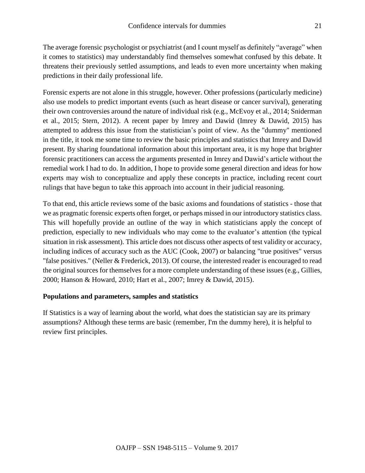The average forensic psychologist or psychiatrist (and I count myself as definitely "average" when it comes to statistics) may understandably find themselves somewhat confused by this debate. It threatens their previously settled assumptions, and leads to even more uncertainty when making predictions in their daily professional life.

Forensic experts are not alone in this struggle, however. Other professions (particularly medicine) also use models to predict important events (such as heart disease or cancer survival), generating their own controversies around the nature of individual risk (e.g., McEvoy et al., 2014; Sniderman et al., 2015; Stern, 2012). A recent paper by Imrey and Dawid (Imrey & Dawid, 2015) has attempted to address this issue from the statistician's point of view. As the "dummy" mentioned in the title, it took me some time to review the basic principles and statistics that Imrey and Dawid present. By sharing foundational information about this important area, it is my hope that brighter forensic practitioners can access the arguments presented in Imrey and Dawid's article without the remedial work I had to do. In addition, I hope to provide some general direction and ideas for how experts may wish to conceptualize and apply these concepts in practice, including recent court rulings that have begun to take this approach into account in their judicial reasoning.

To that end, this article reviews some of the basic axioms and foundations of statistics - those that we as pragmatic forensic experts often forget, or perhaps missed in our introductory statistics class. This will hopefully provide an outline of the way in which statisticians apply the concept of prediction, especially to new individuals who may come to the evaluator's attention (the typical situation in risk assessment). This article does not discuss other aspects of test validity or accuracy, including indices of accuracy such as the AUC (Cook, 2007) or balancing "true positives" versus "false positives." (Neller & Frederick, 2013). Of course, the interested reader is encouraged to read the original sources for themselves for a more complete understanding of these issues (e.g., Gillies, 2000; Hanson & Howard, 2010; Hart et al., 2007; Imrey & Dawid, 2015).

# **Populations and parameters, samples and statistics**

If Statistics is a way of learning about the world, what does the statistician say are its primary assumptions? Although these terms are basic (remember, I'm the dummy here), it is helpful to review first principles.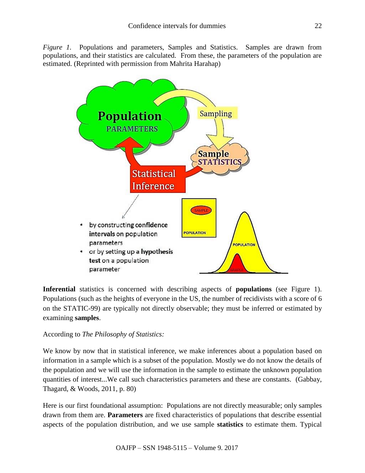*Figure 1.* Populations and parameters, Samples and Statistics. Samples are drawn from populations, and their statistics are calculated. From these, the parameters of the population are estimated. (Reprinted with permission from Mahrita Harahap)



**Inferential** statistics is concerned with describing aspects of **populations** (see Figure 1). Populations (such as the heights of everyone in the US, the number of recidivists with a score of 6 on the STATIC-99) are typically not directly observable; they must be inferred or estimated by examining **samples**.

# According to *The Philosophy of Statistics:*

We know by now that in statistical inference, we make inferences about a population based on information in a sample which is a subset of the population. Mostly we do not know the details of the population and we will use the information in the sample to estimate the unknown population quantities of interest...We call such characteristics parameters and these are constants. (Gabbay, Thagard, & Woods, 2011, p. 80)

Here is our first foundational assumption: Populations are not directly measurable; only samples drawn from them are. **Parameters** are fixed characteristics of populations that describe essential aspects of the population distribution, and we use sample **statistics** to estimate them. Typical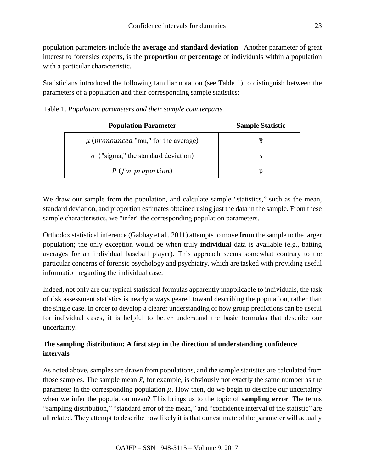population parameters include the **average** and **standard deviation**. Another parameter of great interest to forensics experts, is the **proportion** or **percentage** of individuals within a population with a particular characteristic.

Statisticians introduced the following familiar notation (see Table 1) to distinguish between the parameters of a population and their corresponding sample statistics:

Table 1. *Population parameters and their sample counterparts.*

| <b>Population Parameter</b>                      | <b>Sample Statistic</b> |
|--------------------------------------------------|-------------------------|
| $\mu$ ( <i>pronounced</i> "mu," for the average) | X                       |
| $\sigma$ ("sigma," the standard deviation)       | S                       |
| $P$ (for proportion)                             |                         |

We draw our sample from the population, and calculate sample "statistics," such as the mean, standard deviation, and proportion estimates obtained using just the data in the sample. From these sample characteristics, we "infer" the corresponding population parameters.

Orthodox statistical inference (Gabbay et al., 2011) attempts to move **from** the sample to the larger population; the only exception would be when truly **individual** data is available (e.g., batting averages for an individual baseball player). This approach seems somewhat contrary to the particular concerns of forensic psychology and psychiatry, which are tasked with providing useful information regarding the individual case.

Indeed, not only are our typical statistical formulas apparently inapplicable to individuals, the task of risk assessment statistics is nearly always geared toward describing the population, rather than the single case. In order to develop a clearer understanding of how group predictions can be useful for individual cases, it is helpful to better understand the basic formulas that describe our uncertainty.

# **The sampling distribution: A first step in the direction of understanding confidence intervals**

As noted above, samples are drawn from populations, and the sample statistics are calculated from those samples. The sample mean  $\bar{x}$ , for example, is obviously not exactly the same number as the parameter in the corresponding population  $\mu$ . How then, do we begin to describe our uncertainty when we infer the population mean? This brings us to the topic of **sampling error**. The terms "sampling distribution," "standard error of the mean," and "confidence interval of the statistic" are all related. They attempt to describe how likely it is that our estimate of the parameter will actually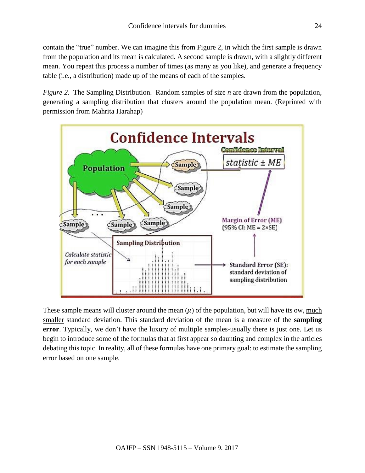contain the "true" number. We can imagine this from Figure 2, in which the first sample is drawn from the population and its mean is calculated. A second sample is drawn, with a slightly different mean. You repeat this process a number of times (as many as you like), and generate a frequency table (i.e., a distribution) made up of the means of each of the samples.

*Figure 2.* The Sampling Distribution. Random samples of size *n* are drawn from the population, generating a sampling distribution that clusters around the population mean. (Reprinted with permission from Mahrita Harahap)



These sample means will cluster around the mean  $(\mu)$  of the population, but will have its ow, much smaller standard deviation. This standard deviation of the mean is a measure of the **sampling error**. Typically, we don't have the luxury of multiple samples-usually there is just one. Let us begin to introduce some of the formulas that at first appear so daunting and complex in the articles debating this topic. In reality, all of these formulas have one primary goal: to estimate the sampling error based on one sample.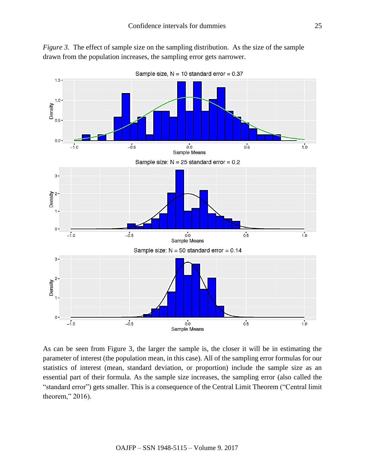



As can be seen from Figure 3, the larger the sample is, the closer it will be in estimating the parameter of interest (the population mean, in this case). All of the sampling error formulas for our statistics of interest (mean, standard deviation, or proportion) include the sample size as an essential part of their formula. As the sample size increases, the sampling error (also called the "standard error") gets smaller. This is a consequence of the Central Limit Theorem ("Central limit theorem," 2016).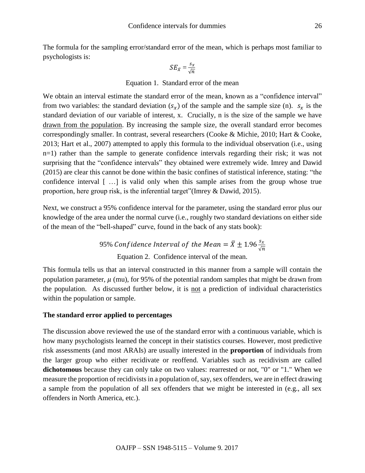The formula for the sampling error/standard error of the mean, which is perhaps most familiar to psychologists is:

$$
SE_{\bar{x}} = \frac{s_x}{\sqrt{n}}
$$

#### Equation 1. Standard error of the mean

We obtain an interval estimate the standard error of the mean, known as a "confidence interval" from two variables: the standard deviation  $(s_x)$  of the sample and the sample size (n).  $s_x$  is the standard deviation of our variable of interest, x. Crucially, n is the size of the sample we have drawn from the population. By increasing the sample size, the overall standard error becomes correspondingly smaller. In contrast, several researchers (Cooke & Michie, 2010; Hart & Cooke, 2013; Hart et al., 2007) attempted to apply this formula to the individual observation (i.e., using n=1) rather than the sample to generate confidence intervals regarding their risk; it was not surprising that the "confidence intervals" they obtained were extremely wide. Imrey and Dawid (2015) are clear this cannot be done within the basic confines of statistical inference, stating: "the confidence interval [ …] is valid only when this sample arises from the group whose true proportion, here group risk, is the inferential target"(Imrey & Dawid, 2015).

Next, we construct a 95% confidence interval for the parameter, using the standard error plus our knowledge of the area under the normal curve (i.e., roughly two standard deviations on either side of the mean of the "bell-shaped" curve, found in the back of any stats book):

> 95% Confidence Interval of the Mean =  $\bar{X} \pm 1.96 \frac{s_{\mathrm{x}}}{\sqrt{n}}$ Equation 2. Confidence interval of the mean.

This formula tells us that an interval constructed in this manner from a sample will contain the population parameter,  $\mu$  (mu), for 95% of the potential random samples that might be drawn from the population. As discussed further below, it is not a prediction of individual characteristics within the population or sample.

#### **The standard error applied to percentages**

The discussion above reviewed the use of the standard error with a continuous variable, which is how many psychologists learned the concept in their statistics courses. However, most predictive risk assessments (and most ARAIs) are usually interested in the **proportion** of individuals from the larger group who either recidivate or reoffend. Variables such as recidivism are called **dichotomous** because they can only take on two values: rearrested or not, "0" or "1." When we measure the proportion of recidivists in a population of, say, sex offenders, we are in effect drawing a sample from the population of all sex offenders that we might be interested in (e.g., all sex offenders in North America, etc.).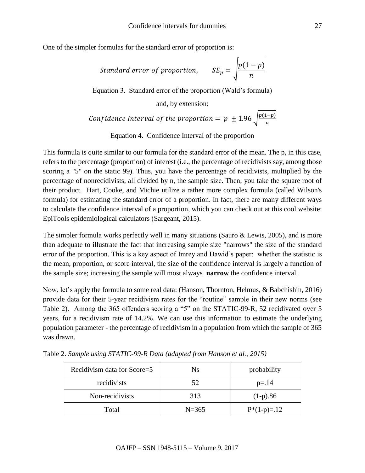One of the simpler formulas for the standard error of proportion is:

Standard error of proportion, 
$$
SE_p = \sqrt{\frac{p(1-p)}{n}}
$$

Equation 3. Standard error of the proportion (Wald's formula)

and, by extension:

Confidence Interval of the proportion = 
$$
p \pm 1.96 \sqrt{\frac{p(1-p)}{n}}
$$

Equation 4. Confidence Interval of the proportion

This formula is quite similar to our formula for the standard error of the mean. The p, in this case, refers to the percentage (proportion) of interest (i.e., the percentage of recidivists say, among those scoring a "5" on the static 99). Thus, you have the percentage of recidivists, multiplied by the percentage of nonrecidivists, all divided by n, the sample size. Then, you take the square root of their product. Hart, Cooke, and Michie utilize a rather more complex formula (called Wilson's formula) for estimating the standard error of a proportion. In fact, there are many different ways to calculate the confidence interval of a proportion, which you can check out at this cool website: EpiTools epidemiological calculators (Sargeant, 2015).

The simpler formula works perfectly well in many situations (Sauro & Lewis, 2005), and is more than adequate to illustrate the fact that increasing sample size "narrows" the size of the standard error of the proportion. This is a key aspect of Imrey and Dawid's paper: whether the statistic is the mean, proportion, or score interval, the size of the confidence interval is largely a function of the sample size; increasing the sample will most always **narrow** the confidence interval.

Now, let's apply the formula to some real data: (Hanson, Thornton, Helmus, & Babchishin, 2016) provide data for their 5-year recidivism rates for the "routine" sample in their new norms (see Table 2). Among the 365 offenders scoring a "5" on the STATIC-99-R, 52 recidivated over 5 years, for a recidivism rate of 14.2%. We can use this information to estimate the underlying population parameter - the percentage of recidivism in a population from which the sample of 365 was drawn.

| Recidivism data for Score=5 | N <sub>s</sub> | probability  |
|-----------------------------|----------------|--------------|
| recidivists                 | 52             | $p = 14$     |
| Non-recidivists             | 313            | $(1-p).86$   |
| Total                       | $N = 365$      | $P*(1-p)=12$ |

Table 2. *Sample using STATIC-99-R Data (adapted from Hanson et al., 2015)*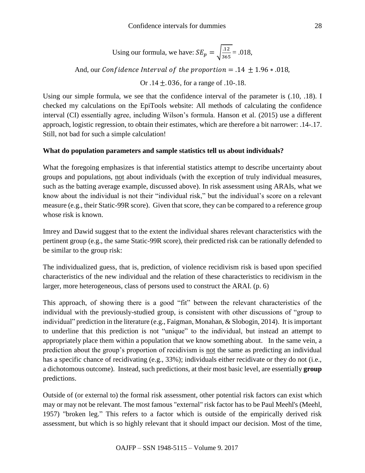Using our formula, we have: 
$$
SE_p = \sqrt{\frac{.12}{365}} = .018
$$
,

And, our Confidence Interval of the proportion = .14  $\pm$  1.96  $\ast$  .018,

Or .14  $\pm$ .036, for a range of .10-.18.

Using our simple formula, we see that the confidence interval of the parameter is (.10, .18). I checked my calculations on the EpiTools website: All methods of calculating the confidence interval (CI) essentially agree, including Wilson's formula. Hanson et al. (2015) use a different approach, logistic regression, to obtain their estimates, which are therefore a bit narrower: .14-.17. Still, not bad for such a simple calculation!

### **What do population parameters and sample statistics tell us about individuals?**

What the foregoing emphasizes is that inferential statistics attempt to describe uncertainty about groups and populations, not about individuals (with the exception of truly individual measures, such as the batting average example, discussed above). In risk assessment using ARAIs, what we know about the individual is not their "individual risk," but the individual's score on a relevant measure (e.g., their Static-99R score). Given that score, they can be compared to a reference group whose risk is known.

Imrey and Dawid suggest that to the extent the individual shares relevant characteristics with the pertinent group (e.g., the same Static-99R score), their predicted risk can be rationally defended to be similar to the group risk:

The individualized guess, that is, prediction, of violence recidivism risk is based upon specified characteristics of the new individual and the relation of these characteristics to recidivism in the larger, more heterogeneous, class of persons used to construct the ARAI. (p. 6)

This approach, of showing there is a good "fit" between the relevant characteristics of the individual with the previously-studied group, is consistent with other discussions of "group to individual" prediction in the literature (e.g., Faigman, Monahan, & Slobogin, 2014). It is important to underline that this prediction is not "unique" to the individual, but instead an attempt to appropriately place them within a population that we know something about. In the same vein, a prediction about the group's proportion of recidivism is not the same as predicting an individual has a specific chance of recidivating (e.g., 33%); individuals either recidivate or they do not (i.e., a dichotomous outcome). Instead, such predictions, at their most basic level, are essentially **group** predictions.

Outside of (or external to) the formal risk assessment, other potential risk factors can exist which may or may not be relevant. The most famous "external" risk factor has to be Paul Meehl's (Meehl, 1957) "broken leg." This refers to a factor which is outside of the empirically derived risk assessment, but which is so highly relevant that it should impact our decision. Most of the time,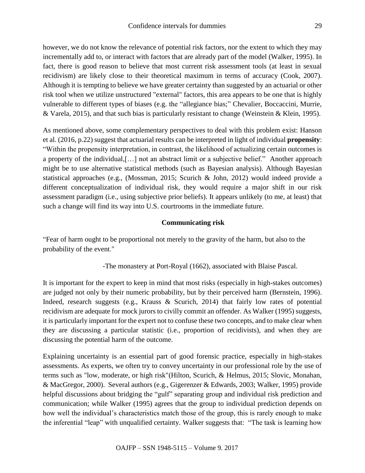however, we do not know the relevance of potential risk factors, nor the extent to which they may incrementally add to, or interact with factors that are already part of the model (Walker, 1995). In fact, there is good reason to believe that most current risk assessment tools (at least in sexual recidivism) are likely close to their theoretical maximum in terms of accuracy (Cook, 2007). Although it is tempting to believe we have greater certainty than suggested by an actuarial or other risk tool when we utilize unstructured "external" factors, this area appears to be one that is highly vulnerable to different types of biases (e.g. the "allegiance bias;" Chevalier, Boccaccini, Murrie, & Varela, 2015), and that such bias is particularly resistant to change (Weinstein & Klein, 1995).

As mentioned above, some complementary perspectives to deal with this problem exist: Hanson et al. (2016, p.22) suggest that actuarial results can be interpreted in light of individual **propensity**: "Within the propensity interpretation, in contrast, the likelihood of actualizing certain outcomes is a property of the individual,[…] not an abstract limit or a subjective belief." Another approach might be to use alternative statistical methods (such as Bayesian analysis). Although Bayesian statistical approaches (e.g., (Mossman, 2015; Scurich & John, 2012) would indeed provide a different conceptualization of individual risk, they would require a major shift in our risk assessment paradigm (i.e., using subjective prior beliefs). It appears unlikely (to me, at least) that such a change will find its way into U.S. courtrooms in the immediate future.

## **Communicating risk**

"Fear of harm ought to be proportional not merely to the gravity of the harm, but also to the probability of the event."

-The monastery at Port-Royal (1662), associated with Blaise Pascal.

It is important for the expert to keep in mind that most risks (especially in high-stakes outcomes) are judged not only by their numeric probability, but by their perceived harm (Bernstein, 1996). Indeed, research suggests (e.g., Krauss & Scurich, 2014) that fairly low rates of potential recidivism are adequate for mock jurors to civilly commit an offender. As Walker (1995) suggests, it is particularly important for the expert not to confuse these two concepts, and to make clear when they are discussing a particular statistic (i.e., proportion of recidivists), and when they are discussing the potential harm of the outcome.

Explaining uncertainty is an essential part of good forensic practice, especially in high-stakes assessments. As experts, we often try to convey uncertainty in our professional role by the use of terms such as "low, moderate, or high risk"(Hilton, Scurich, & Helmus, 2015; Slovic, Monahan, & MacGregor, 2000). Several authors (e.g., Gigerenzer & Edwards, 2003; Walker, 1995) provide helpful discussions about bridging the "gulf" separating group and individual risk prediction and communication; while Walker (1995) agrees that the group to individual prediction depends on how well the individual's characteristics match those of the group, this is rarely enough to make the inferential "leap" with unqualified certainty. Walker suggests that: "The task is learning how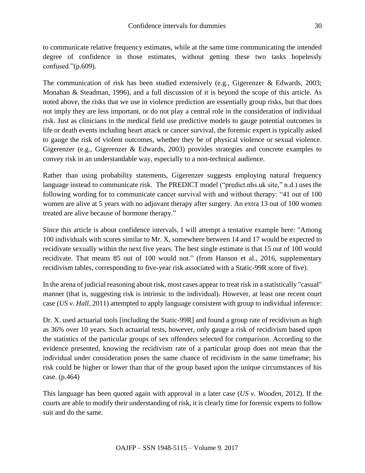confused."(p.609).

The communication of risk has been studied extensively (e.g., Gigerenzer & Edwards, 2003; Monahan & Steadman, 1996), and a full discussion of it is beyond the scope of this article. As noted above, the risks that we use in violence prediction are essentially group risks, but that does not imply they are less important, or do not play a central role in the consideration of individual risk. Just as clinicians in the medical field use predictive models to gauge potential outcomes in life or death events including heart attack or cancer survival, the forensic expert is typically asked to gauge the risk of violent outcomes, whether they be of physical violence or sexual violence. Gigerenzer (e.g., Gigerenzer & Edwards, 2003) provides strategies and concrete examples to convey risk in an understandable way, especially to a non-technical audience.

Rather than using probability statements, Gigerenzer suggests employing natural frequency language instead to communicate risk. The PREDICT model ("predict.nhs.uk site," n.d.) uses the following wording for to communicate cancer survival with and without therapy: "41 out of 100 women are alive at 5 years with no adjuvant therapy after surgery. An extra 13 out of 100 women treated are alive because of hormone therapy."

Since this article is about confidence intervals, I will attempt a tentative example here: "Among 100 individuals with scores similar to Mr. X, somewhere between 14 and 17 would be expected to recidivate sexually within the next five years. The best single estimate is that 15 out of 100 would recidivate. That means 85 out of 100 would not." (from Hanson et al., 2016, supplementary recidivism tables, corresponding to five-year risk associated with a Static-99R score of five).

In the arena of judicial reasoning about risk, most cases appear to treat risk in a statistically "casual" manner (that is, suggesting risk is intrinsic to the individual). However, at least one recent court case (*US v. Hall*, 2011) attempted to apply language consistent with group to individual inference:

Dr. X. used actuarial tools [including the Static-99R] and found a group rate of recidivism as high as 36% over 10 years. Such actuarial tests, however, only gauge a risk of recidivism based upon the statistics of the particular groups of sex offenders selected for comparison. According to the evidence presented, knowing the recidivism rate of a particular group does not mean that the individual under consideration poses the same chance of recidivism in the same timeframe; his risk could be higher or lower than that of the group based upon the unique circumstances of his case. (p.464)

This language has been quoted again with approval in a later case (*US v. Wooden*, 2012). If the courts are able to modify their understanding of risk, it is clearly time for forensic experts to follow suit and do the same.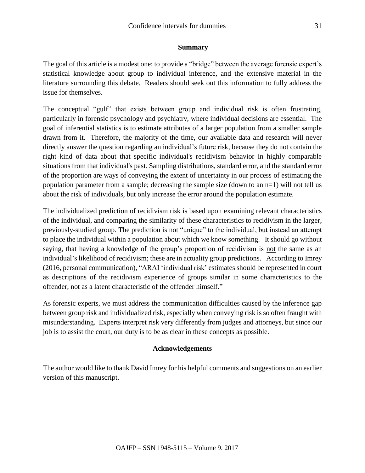## **Summary**

The goal of this article is a modest one: to provide a "bridge" between the average forensic expert's statistical knowledge about group to individual inference, and the extensive material in the literature surrounding this debate. Readers should seek out this information to fully address the issue for themselves.

The conceptual "gulf" that exists between group and individual risk is often frustrating, particularly in forensic psychology and psychiatry, where individual decisions are essential. The goal of inferential statistics is to estimate attributes of a larger population from a smaller sample drawn from it. Therefore, the majority of the time, our available data and research will never directly answer the question regarding an individual's future risk, because they do not contain the right kind of data about that specific individual's recidivism behavior in highly comparable situations from that individual's past. Sampling distributions, standard error, and the standard error of the proportion are ways of conveying the extent of uncertainty in our process of estimating the population parameter from a sample; decreasing the sample size (down to an  $n=1$ ) will not tell us about the risk of individuals, but only increase the error around the population estimate.

The individualized prediction of recidivism risk is based upon examining relevant characteristics of the individual, and comparing the similarity of these characteristics to recidivism in the larger, previously-studied group. The prediction is not "unique" to the individual, but instead an attempt to place the individual within a population about which we know something. It should go without saying, that having a knowledge of the group's proportion of recidivism is not the same as an individual's likelihood of recidivism; these are in actuality group predictions. According to Imrey (2016, personal communication), "ARAI 'individual risk' estimates should be represented in court as descriptions of the recidivism experience of groups similar in some characteristics to the offender, not as a latent characteristic of the offender himself."

As forensic experts, we must address the communication difficulties caused by the inference gap between group risk and individualized risk, especially when conveying risk is so often fraught with misunderstanding. Experts interpret risk very differently from judges and attorneys, but since our job is to assist the court, our duty is to be as clear in these concepts as possible.

# **Acknowledgements**

The author would like to thank David Imrey for his helpful comments and suggestions on an earlier version of this manuscript.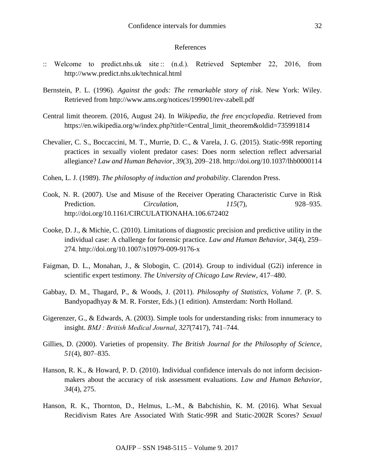#### References

- :: Welcome to predict.nhs.uk site :: (n.d.). Retrieved September 22, 2016, from http://www.predict.nhs.uk/technical.html
- Bernstein, P. L. (1996). *Against the gods: The remarkable story of risk*. New York: Wiley. Retrieved from http://www.ams.org/notices/199901/rev-zabell.pdf
- Central limit theorem. (2016, August 24). In *Wikipedia, the free encyclopedia*. Retrieved from https://en.wikipedia.org/w/index.php?title=Central\_limit\_theorem&oldid=735991814
- Chevalier, C. S., Boccaccini, M. T., Murrie, D. C., & Varela, J. G. (2015). Static-99R reporting practices in sexually violent predator cases: Does norm selection reflect adversarial allegiance? *Law and Human Behavior*, *39*(3), 209–218. http://doi.org/10.1037/lhb0000114
- Cohen, L. J. (1989). *The philosophy of induction and probability*. Clarendon Press.
- Cook, N. R. (2007). Use and Misuse of the Receiver Operating Characteristic Curve in Risk Prediction. *Circulation*, *115*(7), 928–935. http://doi.org/10.1161/CIRCULATIONAHA.106.672402
- Cooke, D. J., & Michie, C. (2010). Limitations of diagnostic precision and predictive utility in the individual case: A challenge for forensic practice. *Law and Human Behavior*, *34*(4), 259– 274. http://doi.org/10.1007/s10979-009-9176-x
- Faigman, D. L., Monahan, J., & Slobogin, C. (2014). Group to individual (G2i) inference in scientific expert testimony. *The University of Chicago Law Review*, 417–480.
- Gabbay, D. M., Thagard, P., & Woods, J. (2011). *Philosophy of Statistics, Volume 7*. (P. S. Bandyopadhyay & M. R. Forster, Eds.) (1 edition). Amsterdam: North Holland.
- Gigerenzer, G., & Edwards, A. (2003). Simple tools for understanding risks: from innumeracy to insight. *BMJ : British Medical Journal*, *327*(7417), 741–744.
- Gillies, D. (2000). Varieties of propensity. *The British Journal for the Philosophy of Science*, *51*(4), 807–835.
- Hanson, R. K., & Howard, P. D. (2010). Individual confidence intervals do not inform decisionmakers about the accuracy of risk assessment evaluations. *Law and Human Behavior*, *34*(4), 275.
- Hanson, R. K., Thornton, D., Helmus, L.-M., & Babchishin, K. M. (2016). What Sexual Recidivism Rates Are Associated With Static-99R and Static-2002R Scores? *Sexual*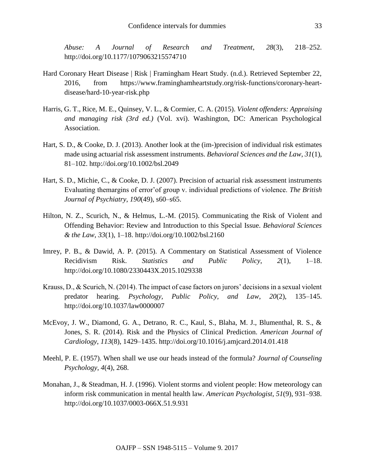*Abuse: A Journal of Research and Treatment*, *28*(3), 218–252. http://doi.org/10.1177/1079063215574710

- Hard Coronary Heart Disease | Risk | Framingham Heart Study. (n.d.). Retrieved September 22, 2016, from https://www.framinghamheartstudy.org/risk-functions/coronary-heartdisease/hard-10-year-risk.php
- Harris, G. T., Rice, M. E., Quinsey, V. L., & Cormier, C. A. (2015). *Violent offenders: Appraising and managing risk (3rd ed.)* (Vol. xvi). Washington, DC: American Psychological Association.
- Hart, S. D., & Cooke, D. J. (2013). Another look at the (im-)precision of individual risk estimates made using actuarial risk assessment instruments. *Behavioral Sciences and the Law*, *31*(1), 81–102. http://doi.org/10.1002/bsl.2049
- Hart, S. D., Michie, C., & Cooke, D. J. (2007). Precision of actuarial risk assessment instruments Evaluating themargins of error'of group v. individual predictions of violence. *The British Journal of Psychiatry*, *190*(49), s60–s65.
- Hilton, N. Z., Scurich, N., & Helmus, L.-M. (2015). Communicating the Risk of Violent and Offending Behavior: Review and Introduction to this Special Issue. *Behavioral Sciences & the Law*, *33*(1), 1–18. http://doi.org/10.1002/bsl.2160
- Imrey, P. B., & Dawid, A. P. (2015). A Commentary on Statistical Assessment of Violence Recidivism Risk. *Statistics and Public Policy*, *2*(1), 1–18. http://doi.org/10.1080/2330443X.2015.1029338
- Krauss, D., & Scurich, N. (2014). The impact of case factors on jurors' decisions in a sexual violent predator hearing. *Psychology, Public Policy, and Law*, *20*(2), 135–145. http://doi.org/10.1037/law0000007
- McEvoy, J. W., Diamond, G. A., Detrano, R. C., Kaul, S., Blaha, M. J., Blumenthal, R. S., & Jones, S. R. (2014). Risk and the Physics of Clinical Prediction. *American Journal of Cardiology*, *113*(8), 1429–1435. http://doi.org/10.1016/j.amjcard.2014.01.418
- Meehl, P. E. (1957). When shall we use our heads instead of the formula? *Journal of Counseling Psychology*, *4*(4), 268.
- Monahan, J., & Steadman, H. J. (1996). Violent storms and violent people: How meteorology can inform risk communication in mental health law. *American Psychologist*, *51*(9), 931–938. http://doi.org/10.1037/0003-066X.51.9.931